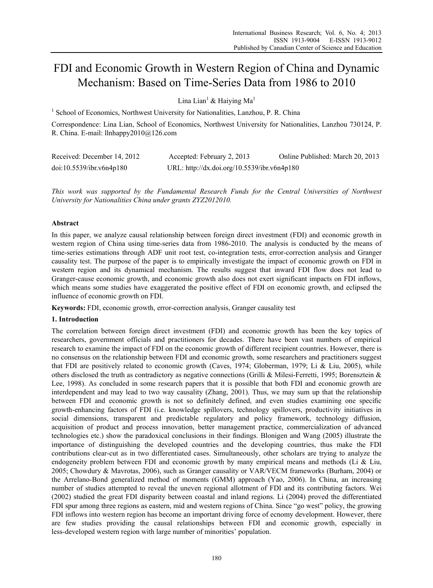# FDI and Economic Growth in Western Region of China and Dynamic Mechanism: Based on Time-Series Data from 1986 to 2010

Lina Lian<sup>1</sup> & Haiying Ma<sup>1</sup>

<sup>1</sup> School of Economics, Northwest University for Nationalities, Lanzhou, P. R. China

Correspondence: Lina Lian, School of Economics, Northwest University for Nationalities, Lanzhou 730124, P. R. China. E-mail: llnhappy2010@126.com

| Received: December 14, 2012 | Accepted: February 2, 2013                  | Online Published: March 20, 2013 |
|-----------------------------|---------------------------------------------|----------------------------------|
| doi:10.5539/ibr.v6n4p180    | URL: http://dx.doi.org/10.5539/ibr.v6n4p180 |                                  |

*This work was supported by the Fundamental Research Funds for the Central Universities of Northwest University for Nationalities China under grants ZYZ2012010.* 

## **Abstract**

In this paper, we analyze causal relationship between foreign direct investment (FDI) and economic growth in western region of China using time-series data from 1986-2010. The analysis is conducted by the means of time-series estimations through ADF unit root test, co-integration tests, error-correction analysis and Granger causality test. The purpose of the paper is to empirically investigate the impact of economic growth on FDI in western region and its dynamical mechanism. The results suggest that inward FDI flow does not lead to Granger-cause economic growth, and economic growth also does not exert significant impacts on FDI inflows, which means some studies have exaggerated the positive effect of FDI on economic growth, and eclipsed the influence of economic growth on FDI.

**Keywords:** FDI, economic growth, error-correction analysis, Granger causality test

## **1. Introduction**

The correlation between foreign direct investment (FDI) and economic growth has been the key topics of researchers, government officials and practitioners for decades. There have been vast numbers of empirical research to examine the impact of FDI on the economic growth of different recipient countries. However, there is no consensus on the relationship between FDI and economic growth, some researchers and practitioners suggest that FDI are positively related to economic growth (Caves, 1974; Globerman, 1979; Li & Liu, 2005), while others disclosed the truth as contradictory as negative connections (Grilli & Milesi-Ferretti, 1995; Borensztein & Lee, 1998). As concluded in some research papers that it is possible that both FDI and economic growth are interdependent and may lead to two way causality (Zhang, 2001). Thus, we may sum up that the relationship between FDI and economic growth is not so definitely defined, and even studies examining one specific growth-enhancing factors of FDI (i.e. knowledge spillovers, technology spillovers, productivity initiatives in social dimensions, transparent and predictable regulatory and policy framework, technology diffusion, acquisition of product and process innovation, better management practice, commercialization of advanced technologies etc.) show the paradoxical conclusions in their findings. Blonigen and Wang (2005) illustrate the importance of distinguishing the developed countries and the developing countries, thus make the FDI contributions clear-cut as in two differentiated cases. Simultaneously, other scholars are trying to analyze the endogeneity problem between FDI and economic growth by many empirical means and methods (Li & Liu, 2005; Chowdury & Mavrotas, 2006), such as Granger causality or VAR/VECM frameworks (Burham, 2004) or the Arrelano-Bond generalized method of moments (GMM) approach (Yao, 2006). In China, an increasing number of studies attempted to reveal the uneven regional allotment of FDI and its contributing factors. Wei (2002) studied the great FDI disparity between coastal and inland regions. Li (2004) proved the differentiated FDI spur among three regions as eastern, mid and western regions of China. Since "go west" policy, the growing FDI inflows into western region has become an important driving force of ecnomy development. However, there are few studies providing the causal relationships between FDI and economic growth, especially in less-developed western region with large number of minorities' population.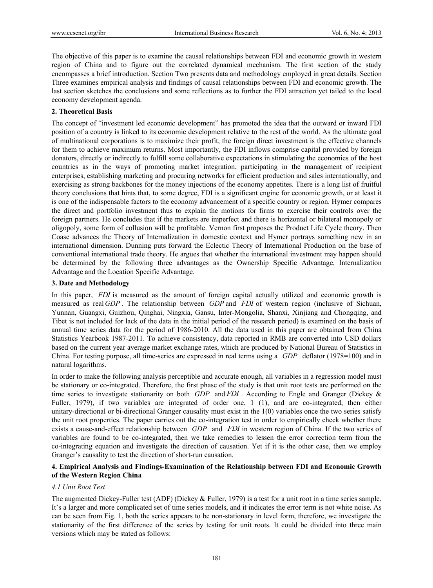The objective of this paper is to examine the causal relationships between FDI and economic growth in western region of China and to figure out the correlated dynamical mechanism. The first section of the study encompasses a brief introduction. Section Two presents data and methodology employed in great details. Section Three examines empirical analysis and findings of causal relationships between FDI and economic growth. The last section sketches the conclusions and some reflections as to further the FDI attraction yet tailed to the local economy development agenda.

# **2. Theoretical Basis**

The concept of "investment led economic development" has promoted the idea that the outward or inward FDI position of a country is linked to its economic development relative to the rest of the world. As the ultimate goal of multinational corporations is to maximize their profit, the foreign direct investment is the effective channels for them to achieve maximum returns. Most importantly, the FDI inflows comprise capital provided by foreign donators, directly or indirectly to fulfill some collaborative expectations in stimulating the economies of the host countries as in the ways of promoting market integration, participating in the management of recipient enterprises, establishing marketing and procuring networks for efficient production and sales internationally, and exercising as strong backbones for the money injections of the economy appetites. There is a long list of fruitful theory conclusions that hints that, to some degree, FDI is a significant engine for economic growth, or at least it is one of the indispensable factors to the economy advancement of a specific country or region. Hymer compares the direct and portfolio investment thus to explain the motions for firms to exercise their controls over the foreign partners. He concludes that if the markets are imperfect and there is horizontal or bilateral monopoly or oligopoly, some form of collusion will be profitable. Vernon first proposes the Product Life Cycle theory. Then Coase advances the Theory of Internalization in domestic context and Hymer portrays something new in an international dimension. Dunning puts forward the Eclectic Theory of International Production on the base of conventional international trade theory. He argues that whether the international investment may happen should be determined by the following three advantages as the Ownership Specific Advantage, Internalization Advantage and the Location Specific Advantage.

## **3. Date and Methodology**

In this paper, *FDI* is measured as the amount of foreign capital actually utilized and economic growth is measured as real *GDP* . The relationship between *GDP* and *FDI* of western region (inclusive of Sichuan, Yunnan, Guangxi, Guizhou, Qinghai, Ningxia, Gansu, Inter-Mongolia, Shanxi, Xinjiang and Chongqing, and Tibet is not included for lack of the data in the initial period of the research period) is examined on the basis of annual time series data for the period of 1986-2010. All the data used in this paper are obtained from China Statistics Yearbook 1987-2011. To achieve consistency, data reported in RMB are converted into USD dollars based on the current year average market exchange rates, which are produced by National Bureau of Statistics in China. For testing purpose, all time-series are expressed in real terms using a *GDP* deflator (1978=100) and in natural logarithms.

In order to make the following analysis perceptible and accurate enough, all variables in a regression model must be stationary or co-integrated. Therefore, the first phase of the study is that unit root tests are performed on the time series to investigate stationarity on both *GDP* and *FDI* . According to Engle and Granger (Dickey & Fuller, 1979), if two variables are integrated of order one, 1 (1), and are co-integrated, then either unitary-directional or bi-directional Granger causality must exist in the 1(0) variables once the two series satisfy the unit root properties. The paper carries out the co-integration test in order to empirically check whether there exists a cause-and-effect relationship between *GDP* and *FDI* in western region of China. If the two series of variables are found to be co-integrated, then we take remedies to lessen the error correction term from the co-integrating equation and investigate the direction of causation. Yet if it is the other case, then we employ Granger's causality to test the direction of short-run causation.

# **4. Empirical Analysis and Findings-Examination of the Relationship between FDI and Economic Growth of the Western Region China**

## *4.1 Unit Root Test*

The augmented Dickey-Fuller test (ADF) (Dickey & Fuller, 1979) is a test for a unit root in a time series sample. It's a larger and more complicated set of time series models, and it indicates the error term is not white noise. As can be seen from Fig. 1, both the series appears to be non-stationary in level form, therefore, we investigate the stationarity of the first difference of the series by testing for unit roots. It could be divided into three main versions which may be stated as follows: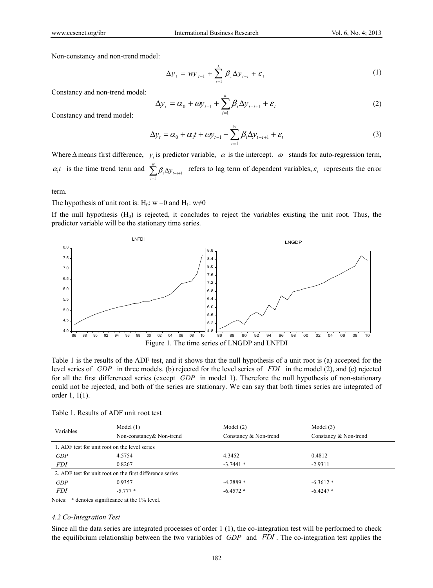Non-constancy and non-trend model:

$$
\Delta y_{t} = wy_{t-1} + \sum_{i=1}^{k} \beta_{i} \Delta y_{t-i} + \varepsilon_{t}
$$
\n(1)

Constancy and non-trend model:

$$
\Delta y_t = \alpha_0 + \omega y_{t-1} + \sum_{i=1}^k \beta_i \Delta y_{t-i+1} + \varepsilon_t
$$
\n(2)

Constancy and trend model:

$$
\Delta y_t = \alpha_0 + \alpha_1 t + \omega y_{t-1} + \sum_{i=1}^w \beta_i \Delta y_{t-i+1} + \varepsilon_t
$$
\n(3)

Where  $\Delta$  means first difference, *y*, is predictor variable,  $\alpha$  is the intercept.  $\omega$  stands for auto-regression term,  $\alpha_i t$  is the time trend term and  $\sum_{i=1}^w \beta_i \Delta y_{t-i+1}$  $\sum_{i=1}^{n} \beta_i \Delta y_{t-i+1}$  refers to lag term of dependent variables,  $\varepsilon_t$  represents the error

term.

The hypothesis of unit root is: H<sub>0</sub>: w =0 and H<sub>1</sub>: w $\neq$ 0

If the null hypothesis  $(H_0)$  is rejected, it concludes to reject the variables existing the unit root. Thus, the predictor variable will be the stationary time series.



Table 1 is the results of the ADF test, and it shows that the null hypothesis of a unit root is (a) accepted for the level series of *GDP* in three models. (b) rejected for the level series of *FDI* in the model (2), and (c) rejected for all the first differenced series (except *GDP* in model 1). Therefore the null hypothesis of non-stationary could not be rejected, and both of the series are stationary. We can say that both times series are integrated of order 1, 1(1).

| Variables                                                | Model $(1)$<br>Non-constancy & Non-trend | Model $(2)$<br>Constancy & Non-trend | Model $(3)$<br>Constancy & Non-trend |  |  |
|----------------------------------------------------------|------------------------------------------|--------------------------------------|--------------------------------------|--|--|
| 1. ADF test for unit root on the level series            |                                          |                                      |                                      |  |  |
| GDP                                                      | 4.5754                                   | 4.3452                               | 0.4812                               |  |  |
| <i>FDI</i>                                               | 0.8267                                   | $-3.7441*$                           | $-2.9311$                            |  |  |
| 2. ADF test for unit root on the first difference series |                                          |                                      |                                      |  |  |
| GDP                                                      | 0.9357                                   | $-4.2889*$                           | $-6.3612*$                           |  |  |
| <i>FDI</i>                                               | $-5.777*$                                | $-6.4572*$                           | $-6.4247*$                           |  |  |

Notes: \* denotes significance at the 1% level.

#### *4.2 Co-Integration Test*

Since all the data series are integrated processes of order 1 (1), the co-integration test will be performed to check the equilibrium relationship between the two variables of *GDP* and *FDI* . The co-integration test applies the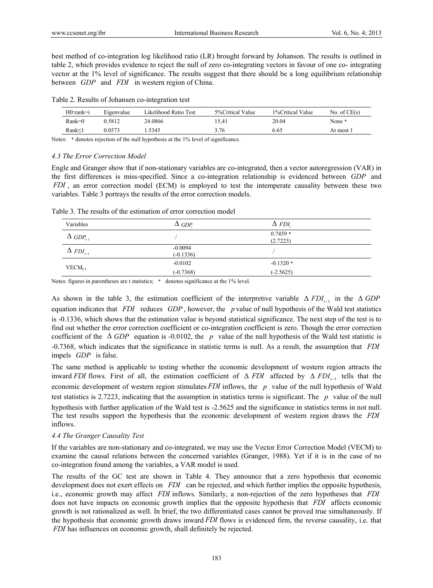best method of co-integration log likelihood ratio (LR) brought forward by Johanson. The results is outlined in table 2, which provides evidence to reject the null of zero co-integrating vectors in favour of one co- integrating vector at the 1% level of significance. The results suggest that there should be a long equilibrium relationship between *GDP* and *FDI* in western region of China.

Table 2. Results of Johansen co-integration test

| $H0:rank=i$ | Eigenvalue | Likelihood Ratio Test | 5% Critical Value | 1%Critical Value | No. of $CE(s)$ |
|-------------|------------|-----------------------|-------------------|------------------|----------------|
| $Rank=0$    | 0.5812     | 24.0866               | 15.41             | 20.04            | None *         |
| Rank<1      | ን 0573     | .5345                 | 3.76              | 6.65             | At most 1      |

Notes:  $*$  denotes rejection of the null hypothesis at the 1% level of significance.

## *4.3 The Error Correction Model*

Engle and Granger show that if non-stationary variables are co-integrated, then a vector autoregression (VAR) in the first differences is miss-specified. Since a co-integration relationship is evidenced between *GDP* and *FDI* , an error correction model (ECM) is employed to test the intemperate causality between these two variables. Table 3 portrays the results of the error correction models.

| Table 3. The results of the estimation of error correction model |
|------------------------------------------------------------------|
|------------------------------------------------------------------|

| Variables                   | $\Delta$ GDP.            | $\Delta$ FDI          |
|-----------------------------|--------------------------|-----------------------|
| $\Delta$ GDP <sub>t-1</sub> |                          | $0.7459*$<br>(2.7223) |
| $\Delta$ FDI <sub>t-1</sub> | $-0.0094$<br>$(-0.1336)$ |                       |
| $VECM_{t-1}$                | $-0.0102$                | $-0.1320*$            |
|                             | $(-0.7368)$              | $(-2.5625)$           |

Notes: figures in parentheses are t statistics; \* denotes significance at the 1% level.

As shown in the table 3, the estimation coefficient of the interpretive variable  $\Delta FDI_{t-1}$  in the  $\Delta GDP$ equation indicates that *FDI* reduces *GDP* , however, the *p* value of null hypothesis of the Wald test statistics is -0.1336, which shows that the estimation value is beyond statistical significance. The next step of the test is to find out whether the error correction coefficient or co-integration coefficient is zero. Though the error correction coefficient of the  $\triangle$  *GDP* equation is -0.0102, the *p* value of the null hypothesis of the Wald test statistic is -0.7368, which indicates that the significance in statistic terms is null. As a result, the assumption that *FDI* impels *GDP* is false.

The same method is applicable to testing whether the economic development of western region attracts the inward *FDI* flows. First of all, the estimation coefficient of  $\Delta$  *FDI* affected by  $\Delta$  *FDI*<sub> $t-1$ </sub> tells that the economic development of western region stimulates *FDI* inflows, the *p* value of the null hypothesis of Wald test statistics is 2.7223, indicating that the assumption in statistics terms is significant. The *p* value of the null hypothesis with further application of the Wald test is -2.5625 and the significance in statistics terms in not null. The test results support the hypothesis that the economic development of western region draws the *FDI* inflows.

# *4.4 The Granger Causality Test*

If the variables are non-stationary and co-integrated, we may use the Vector Error Correction Model (VECM) to examine the causal relations between the concerned variables (Granger, 1988). Yet if it is in the case of no co-integration found among the variables, a VAR model is used.

The results of the GC test are shown in Table 4. They announce that a zero hypothesis that economic development does not exert effects on *FDI* can be rejected, and which further implies the opposite hypothesis, i.e., economic growth may affect *FDI* inflows. Similarly, a non-rejection of the zero hypotheses that *FDI* does not have impacts on economic growth implies that the opposite hypothesis that *FDI* affects economic growth is not rationalized as well. In brief, the two differentiated cases cannot be proved true simultaneously. If the hypothesis that economic growth draws inward *FDI* flows is evidenced firm, the reverse causality, i.e. that *FDI* has influences on economic growth, shall definitely be rejected.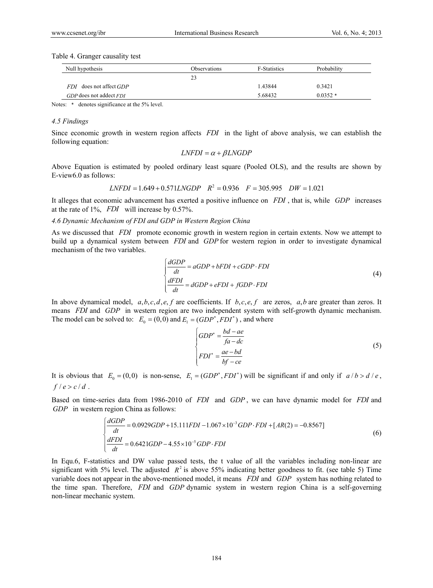Table 4. Granger causality test

| Null hypothesis             | Observations | <b>F-Statistics</b> | Probability |
|-----------------------------|--------------|---------------------|-------------|
|                             | 23           |                     |             |
| FDI does not affect GDP     |              | 1.43844             | 0.3421      |
| $GDP$ does not addect $FDI$ |              | 5.68432             | $0.0352*$   |

Notes:  $*$  denotes significance at the 5% level.

## *4.5 Findings*

Since economic growth in western region affects *FDI* in the light of above analysis, we can establish the following equation:

$$
LNFDI = \alpha + \beta LNGDP
$$

Above Equation is estimated by pooled ordinary least square (Pooled OLS), and the results are shown by E-view6.0 as follows:

$$
LNFDI = 1.649 + 0.571 LNGDP \quad R^2 = 0.936 \quad F = 305.995 \quad DW = 1.021
$$

It alleges that economic advancement has exerted a positive influence on *FDI* , that is, while *GDP* increases at the rate of 1%, *FDI* will increase by 0.57%.

## *4.6 Dynamic Mechanism of FDI and GDP in Western Region China*

As we discussed that *FDI* promote economic growth in western region in certain extents. Now we attempt to build up a dynamical system between *FDI* and *GDP* for western region in order to investigate dynamical mechanism of the two variables.

$$
\begin{cases}\n\frac{dGDP}{dt} = aGDP + bFDI + cGDP \cdot FDI \\
\frac{dFDI}{dt} = dGDP + eFDI + fGDP \cdot FDI\n\end{cases}
$$
\n(4)

In above dynamical model,  $a, b, c, d, e, f$  are coefficients. If  $b, c, e, f$  are zeros,  $a, b$  are greater than zeros. It means *FDI* and *GDP* in western region are two independent system with self-growth dynamic mechanism. The model can be solved to:  $E_0 = (0,0)$  and  $E_1 = (GDP^*, FDI^*)$ , and where

$$
\begin{cases}\nGDP^* = \frac{bd - ae}{fa - dc} \\
FDI^* = \frac{ae - bd}{bf - ce}\n\end{cases}
$$
\n(5)

It is obvious that  $E_0 = (0,0)$  is non-sense,  $E_1 = (GDP^*, FDI^*)$  will be significant if and only if  $a/b > d/e$ ,  $f/e > c/d$ .

Based on time-series data from 1986-2010 of *FDI* and *GDP* , we can have dynamic model for *FDI* and *GDP* in western region China as follows:

$$
\begin{cases}\n\frac{dGDP}{dt} = 0.0929GDP + 15.111FDI - 1.067 \times 10^{-3} GDP \cdot FDI + [AR(2) = -0.8567] \\
\frac{dFDI}{dt} = 0.6421GDP - 4.55 \times 10^{-5} GDP \cdot FDI\n\end{cases}
$$
\n(6)

In Equ.6, F-statistics and DW value passed tests, the t value of all the variables including non-linear are significant with 5% level. The adjusted  $R^2$  is above 55% indicating better goodness to fit. (see table 5) Time variable does not appear in the above-mentioned model, it means *FDI* and *GDP* system has nothing related to the time span. Therefore, *FDI* and *GDP* dynamic system in western region China is a self-governing non-linear mechanic system.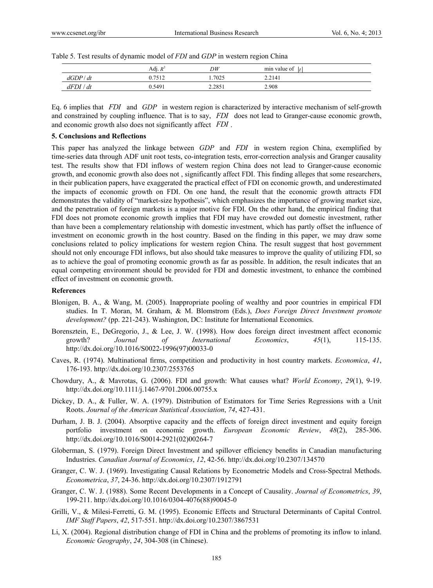|         | Adj. $R^2$     | DW     | min value of |  |
|---------|----------------|--------|--------------|--|
| dGDP/dt | $1751^{\circ}$ | .7025  | 2.2141       |  |
| dFDI/dt | ).5491         | 2.2851 | 2.908        |  |

Table 5. Test results of dynamic model of *FDI* and *GDP* in western region China

Eq. 6 implies that *FDI* and *GDP* in western region is characterized by interactive mechanism of self-growth and constrained by coupling influence. That is to say, *FDI* does not lead to Granger-cause economic growth, and economic growth also does not significantly affect *FDI* .

### **5. Conclusions and Reflections**

This paper has analyzed the linkage between *GDP* and *FDI* in western region China, exemplified by time-series data through ADF unit root tests, co-integration tests, error-correction analysis and Granger causality test. The results show that FDI inflows of western region China does not lead to Granger-cause economic growth, and economic growth also does not , significantly affect FDI. This finding alleges that some researchers, in their publication papers, have exaggerated the practical effect of FDI on economic growth, and underestimated the impacts of economic growth on FDI. On one hand, the result that the economic growth attracts FDI demonstrates the validity of "market-size hypothesis", which emphasizes the importance of growing market size, and the penetration of foreign markets is a major motive for FDI. On the other hand, the empirical finding that FDI does not promote economic growth implies that FDI may have crowded out domestic investment, rather than have been a complementary relationship with domestic investment, which has partly offset the influence of investment on economic growth in the host country. Based on the finding in this paper, we may draw some conclusions related to policy implications for western region China. The result suggest that host government should not only encourage FDI inflows, but also should take measures to improve the quality of utilizing FDI, so as to achieve the goal of promoting economic growth as far as possible. In addition, the result indicates that an equal competing environment should be provided for FDI and domestic investment, to enhance the combined effect of investment on economic growth.

#### **References**

- Blonigen, B. A., & Wang, M. (2005). Inappropriate pooling of wealthy and poor countries in empirical FDI studies. In T. Moran, M. Graham, & M. Blomstrom (Eds.), *Does Foreign Direct Investment promote development?* (pp. 221-243). Washington, DC: Institute for International Economics.
- Borensztein, E., DeGregorio, J., & Lee, J. W. (1998). How does foreign direct investment affect economic growth? *Journal of International Economics*, *45*(1), 115-135. http://dx.doi.org/10.1016/S0022-1996(97)00033-0
- Caves, R. (1974). Multinational firms, competition and productivity in host country markets. *Economica*, *41*, 176-193. http://dx.doi.org/10.2307/2553765
- Chowdury, A., & Mavrotas, G. (2006). FDI and growth: What causes what? *World Economy*, *29*(1), 9-19. http://dx.doi.org/10.1111/j.1467-9701.2006.00755.x
- Dickey, D. A., & Fuller, W. A. (1979). Distribution of Estimators for Time Series Regressions with a Unit Roots. *Journal of the American Statistical Association*, *74*, 427-431.
- Durham, J. B. J. (2004). Absorptive capacity and the effects of foreign direct investment and equity foreign portfolio investment on economic growth. *European Economic Review*, *48*(2), 285-306. http://dx.doi.org/10.1016/S0014-2921(02)00264-7
- Globerman, S. (1979). Foreign Direct Investment and spillover efficiency benefits in Canadian manufacturing Industries. *Canadian Journal of Economics*, *12*, 42-56. http://dx.doi.org/10.2307/134570
- Granger, C. W. J. (1969). Investigating Causal Relations by Econometric Models and Cross-Spectral Methods. *Econometrica*, *37*, 24-36. http://dx.doi.org/10.2307/1912791
- Granger, C. W. J. (1988). Some Recent Developments in a Concept of Causality. *Journal of Econometrics*, *39*, 199-211. http://dx.doi.org/10.1016/0304-4076(88)90045-0
- Grilli, V., & Milesi-Ferretti, G. M. (1995). Economic Effects and Structural Determinants of Capital Control. *IMF Staff Papers*, *42*, 517-551. http://dx.doi.org/10.2307/3867531
- Li, X. (2004). Regional distribution change of FDI in China and the problems of promoting its inflow to inland. *Economic Geography*, *24*, 304-308 (in Chinese).